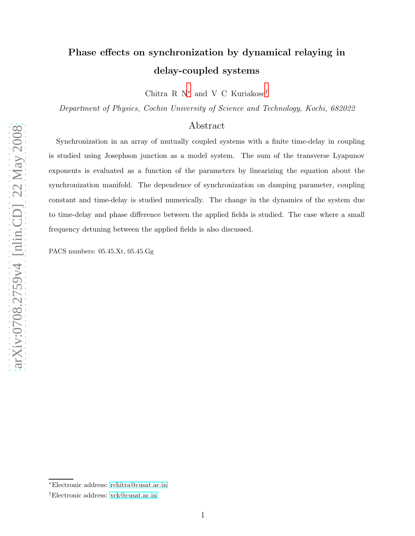# Phase effects on synchronization by dynamical relaying in delay-coupled systems

Chitra R N[∗](#page-0-0) and V C Kuriakose[†](#page-0-1)

Department of Physics, Cochin University of Science and Technology, Kochi, 682022

# Abstract

Synchronization in an array of mutually coupled systems with a finite time-delay in coupling is studied using Josephson junction as a model system. The sum of the transverse Lyapunov exponents is evaluated as a function of the parameters by linearizing the equation about the synchronization manifold. The dependence of synchronization on damping parameter, coupling constant and time-delay is studied numerically. The change in the dynamics of the system due to time-delay and phase difference between the applied fields is studied. The case where a small frequency detuning between the applied fields is also discussed.

PACS numbers: 05.45.Xt, 05.45.Gg

arXiv:0708.2759v4 [nlin.CD] 22 May 2008 [arXiv:0708.2759v4 \[nlin.CD\] 22 May 2008](http://arXiv.org/abs/0708.2759v4)

<span id="page-0-1"></span><span id="page-0-0"></span><sup>∗</sup>Electronic address: [rchitra@cusat.ac.in](mailto:rchitra@cusat.ac.in)

<sup>†</sup>Electronic address: [vck@cusat.ac.in](mailto:vck@cusat.ac.in)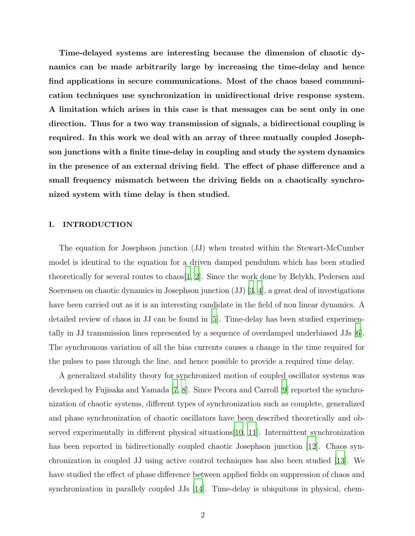Time-delayed systems are interesting because the dimension of chaotic dynamics can be made arbitrarily large by increasing the time-delay and hence find applications in secure communications. Most of the chaos based communication techniques use synchronization in unidirectional drive response system. A limitation which arises in this case is that messages can be sent only in one direction. Thus for a two way transmission of signals, a bidirectional coupling is required. In this work we deal with an array of three mutually coupled Josephson junctions with a finite time-delay in coupling and study the system dynamics in the presence of an external driving field. The effect of phase difference and a small frequency mismatch between the driving fields on a chaotically synchronized system with time delay is then studied.

#### I. INTRODUCTION

The equation for Josephson junction (JJ) when treated within the Stewart-McCumber model is identical to the equation for a driven damped pendulum which has been studied theoretically for several routes to chaos[\[1,](#page-8-0) [2\]](#page-8-1). Since the work done by Belykh, Pedersen and Soerensen on chaotic dynamics in Josephson junction (JJ) [\[3](#page-8-2), [4](#page-8-3)], a great deal of investigations have been carried out as it is an interesting candidate in the field of non linear dynamics. A detailed review of chaos in JJ can be found in [\[5\]](#page-8-4). Time-delay has been studied experimentally in JJ transmission lines represented by a sequence of overdamped underbiased JJs [\[6\]](#page-8-5). The synchronous variation of all the bias currents causes a change in the time required for the pulses to pass through the line, and hence possible to provide a required time delay.

A generalized stability theory for synchronized motion of coupled oscillator systems was developed by Fujisaka and Yamada [\[7](#page-8-6), [8](#page-8-7)]. Since Pecora and Carroll [\[9](#page-8-8)] reported the synchronization of chaotic systems, different types of synchronization such as complete, generalized and phase synchronization of chaotic oscillators have been described theoretically and observed experimentally in different physical situations[\[10,](#page-8-9) [11](#page-8-10)]. Intermittent synchronization has been reported in bidirectionally coupled chaotic Josephson junction [\[12](#page-8-11)]. Chaos synchronization in coupled JJ using active control techniques has also been studied [\[13](#page-8-12)]. We have studied the effect of phase difference between applied fields on suppression of chaos and synchronization in parallely coupled JJs [\[14\]](#page-8-13). Time-delay is ubiquitous in physical, chem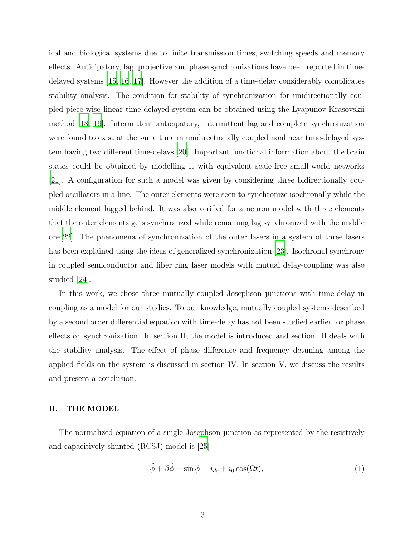ical and biological systems due to finite transmission times, switching speeds and memory effects. Anticipatory, lag, projective and phase synchronizations have been reported in timedelayed systems [\[15,](#page-8-14) [16](#page-8-15), [17\]](#page-8-16). However the addition of a time-delay considerably complicates stability analysis. The condition for stability of synchronization for unidirectionally coupled piece-wise linear time-delayed system can be obtained using the Lyapunov-Krasovskii method [\[18](#page-8-17), [19\]](#page-8-18). Intermittent anticipatory, intermittent lag and complete synchronization were found to exist at the same time in unidirectionally coupled nonlinear time-delayed system having two different time-delays [\[20](#page-8-19)]. Important functional information about the brain states could be obtained by modelling it with equivalent scale-free small-world networks [\[21](#page-9-0)]. A configuration for such a model was given by considering three bidirectionally coupled oscillators in a line. The outer elements were seen to synchronize isochronally while the middle element lagged behind. It was also verified for a neuron model with three elements that the outer elements gets synchronized while remaining lag synchronized with the middle one[\[22\]](#page-9-1). The phenomena of synchronization of the outer lasers in a system of three lasers has been explained using the ideas of generalized synchronization [\[23\]](#page-9-2). Isochronal synchrony in coupled semiconductor and fiber ring laser models with mutual delay-coupling was also studied [\[24](#page-9-3)].

In this work, we chose three mutually coupled Josephson junctions with time-delay in coupling as a model for our studies. To our knowledge, mutually coupled systems described by a second order differential equation with time-delay has not been studied earlier for phase effects on synchronization. In section II, the model is introduced and section III deals with the stability analysis. The effect of phase difference and frequency detuning among the applied fields on the system is discussed in section IV. In section V, we discuss the results and present a conclusion.

## II. THE MODEL

The normalized equation of a single Josephson junction as represented by the resistively and capacitively shunted (RCSJ) model is [\[25](#page-9-4)]

$$
\ddot{\phi} + \beta \dot{\phi} + \sin \phi = i_{dc} + i_0 \cos(\Omega t),\tag{1}
$$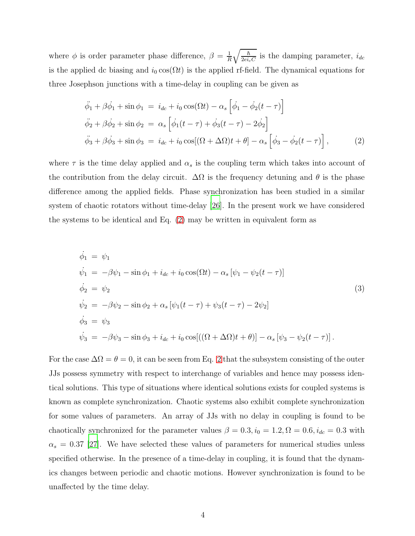where  $\phi$  is order parameter phase difference,  $\beta = \frac{1}{R}$  $\frac{1}{R}\sqrt{\frac{\hbar}{2ei_cC}}$  is the damping parameter,  $i_{dc}$ is the applied dc biasing and  $i_0 \cos(\Omega t)$  is the applied rf-field. The dynamical equations for three Josephson junctions with a time-delay in coupling can be given as

<span id="page-3-0"></span>
$$
\ddot{\phi}_1 + \beta \dot{\phi}_1 + \sin \phi_1 = i_{dc} + i_0 \cos(\Omega t) - \alpha_s \left[ \dot{\phi}_1 - \dot{\phi}_2 (t - \tau) \right]
$$
  
\n
$$
\ddot{\phi}_2 + \beta \dot{\phi}_2 + \sin \phi_2 = \alpha_s \left[ \dot{\phi}_1 (t - \tau) + \dot{\phi}_3 (t - \tau) - 2 \dot{\phi}_2 \right]
$$
  
\n
$$
\ddot{\phi}_3 + \beta \dot{\phi}_3 + \sin \phi_3 = i_{dc} + i_0 \cos[(\Omega + \Delta \Omega)t + \theta] - \alpha_s \left[ \dot{\phi}_3 - \dot{\phi}_2 (t - \tau) \right],
$$
\n(2)

where  $\tau$  is the time delay applied and  $\alpha_s$  is the coupling term which takes into account of the contribution from the delay circuit.  $\Delta\Omega$  is the frequency detuning and  $\theta$  is the phase difference among the applied fields. Phase synchronization has been studied in a similar system of chaotic rotators without time-delay [\[26](#page-9-5)]. In the present work we have considered the systems to be identical and Eq. [\(2\)](#page-3-0) may be written in equivalent form as

<span id="page-3-1"></span>
$$
\dot{\phi}_1 = \psi_1 \n\dot{\psi}_1 = -\beta \psi_1 - \sin \phi_1 + i_{dc} + i_0 \cos(\Omega t) - \alpha_s [\psi_1 - \psi_2(t - \tau)] \n\dot{\phi}_2 = \psi_2 \n\dot{\psi}_2 = -\beta \psi_2 - \sin \phi_2 + \alpha_s [\psi_1(t - \tau) + \psi_3(t - \tau) - 2\psi_2] \n\dot{\phi}_3 = \psi_3 \n\dot{\psi}_3 = -\beta \psi_3 - \sin \phi_3 + i_{dc} + i_0 \cos[((\Omega + \Delta \Omega)t + \theta)] - \alpha_s [\psi_3 - \psi_2(t - \tau)].
$$
\n(3)

For the case  $\Delta\Omega = \theta = 0$ , it can be seen from Eq. [2](#page-3-0) that the subsystem consisting of the outer JJs possess symmetry with respect to interchange of variables and hence may possess identical solutions. This type of situations where identical solutions exists for coupled systems is known as complete synchronization. Chaotic systems also exhibit complete synchronization for some values of parameters. An array of JJs with no delay in coupling is found to be chaotically synchronized for the parameter values  $\beta = 0.3, i_0 = 1.2, \Omega = 0.6, i_{dc} = 0.3$  with  $\alpha_s = 0.37$  [\[27\]](#page-9-6). We have selected these values of parameters for numerical studies unless specified otherwise. In the presence of a time-delay in coupling, it is found that the dynamics changes between periodic and chaotic motions. However synchronization is found to be unaffected by the time delay.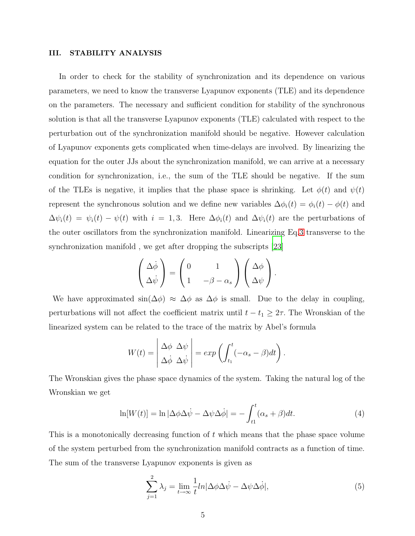## III. STABILITY ANALYSIS

In order to check for the stability of synchronization and its dependence on various parameters, we need to know the transverse Lyapunov exponents (TLE) and its dependence on the parameters. The necessary and sufficient condition for stability of the synchronous solution is that all the transverse Lyapunov exponents (TLE) calculated with respect to the perturbation out of the synchronization manifold should be negative. However calculation of Lyapunov exponents gets complicated when time-delays are involved. By linearizing the equation for the outer JJs about the synchronization manifold, we can arrive at a necessary condition for synchronization, i.e., the sum of the TLE should be negative. If the sum of the TLEs is negative, it implies that the phase space is shrinking. Let  $\phi(t)$  and  $\psi(t)$ represent the synchronous solution and we define new variables  $\Delta \phi_i(t) = \phi_i(t) - \phi(t)$  and  $\Delta\psi_i(t) = \psi_i(t) - \psi(t)$  with  $i = 1, 3$ . Here  $\Delta\phi_i(t)$  and  $\Delta\psi_i(t)$  are the perturbations of the outer oscillators from the synchronization manifold. Linearizing Eq[.3](#page-3-1) transverse to the synchronization manifold , we get after dropping the subscripts [\[23](#page-9-2)]

$$
\begin{pmatrix}\n\Delta \dot{\phi} \\
\Delta \dot{\psi}\n\end{pmatrix} = \begin{pmatrix}\n0 & 1 \\
1 & -\beta - \alpha_s\n\end{pmatrix} \begin{pmatrix}\n\Delta \phi \\
\Delta \psi\n\end{pmatrix}.
$$

We have approximated  $\sin(\Delta \phi) \approx \Delta \phi$  as  $\Delta \phi$  is small. Due to the delay in coupling, perturbations will not affect the coefficient matrix until  $t - t_1 \geq 2\tau$ . The Wronskian of the linearized system can be related to the trace of the matrix by Abel's formula

$$
W(t) = \begin{vmatrix} \Delta \phi & \Delta \psi \\ \Delta \dot{\phi} & \Delta \dot{\psi} \end{vmatrix} = exp \left( \int_{t_1}^t (-\alpha_s - \beta) dt \right).
$$

The Wronskian gives the phase space dynamics of the system. Taking the natural log of the Wronskian we get

<span id="page-4-0"></span>
$$
\ln[W(t)] = \ln|\Delta\phi\Delta\dot{\psi} - \Delta\psi\Delta\dot{\phi}| = -\int_{t_1}^t (\alpha_s + \beta)dt.
$$
 (4)

This is a monotonically decreasing function of  $t$  which means that the phase space volume of the system perturbed from the synchronization manifold contracts as a function of time. The sum of the transverse Lyapunov exponents is given as

$$
\sum_{j=1}^{2} \lambda_j = \lim_{t \to \infty} \frac{1}{t} ln|\Delta \phi \Delta \dot{\psi} - \Delta \psi \Delta \dot{\phi}|,
$$
\n(5)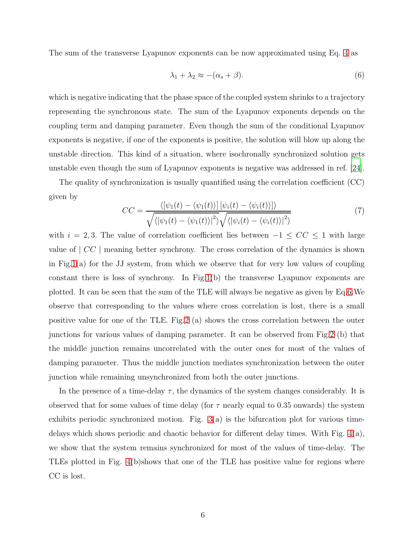The sum of the transverse Lyapunov exponents can be now approximated using Eq. [4](#page-4-0) as

<span id="page-5-0"></span>
$$
\lambda_1 + \lambda_2 \approx -(\alpha_s + \beta). \tag{6}
$$

which is negative indicating that the phase space of the coupled system shrinks to a trajectory representing the synchronous state. The sum of the Lyapunov exponents depends on the coupling term and damping parameter. Even though the sum of the conditional Lyapunov exponents is negative, if one of the exponents is positive, the solution will blow up along the unstable direction. This kind of a situation, where isochronally synchronized solution gets unstable even though the sum of Lyapunov exponents is negative was addressed in ref. [\[24\]](#page-9-3).

The quality of synchronization is usually quantified using the correlation coefficient (CC) given by

$$
CC = \frac{\langle [\psi_1(t) - \langle \psi_1(t) \rangle] [\psi_i(t) - \langle \psi_i(t) \rangle] \rangle}{\sqrt{\langle |\psi_1(t) - \langle \psi_1(t) \rangle|^2} \sqrt{\langle |\psi_i(t) - \langle \psi_i(t) \rangle|^2 \rangle}}
$$
(7)

with  $i = 2, 3$ . The value of correlation coefficient lies between  $-1 \leq CC \leq 1$  with large value of  $|CC|$  meaning better synchrony. The cross correlation of the dynamics is shown in Fig[.1\(](#page-9-7)a) for the JJ system, from which we observe that for very low values of coupling constant there is loss of synchrony. In Fig[.1\(](#page-9-7)b) the transverse Lyapunov exponents are plotted. It can be seen that the sum of the TLE will always be negative as given by Eq[.6.](#page-5-0)We observe that corresponding to the values where cross correlation is lost, there is a small positive value for one of the TLE. Fig[.2](#page-10-0) (a) shows the cross correlation between the outer junctions for various values of damping parameter. It can be observed from Fig[.2](#page-10-0) (b) that the middle junction remains uncorrelated with the outer ones for most of the values of damping parameter. Thus the middle junction mediates synchronization between the outer junction while remaining unsynchronized from both the outer junctions.

In the presence of a time-delay  $\tau$ , the dynamics of the system changes considerably. It is observed that for some values of time delay (for  $\tau$  nearly equal to 0.35 onwards) the system exhibits periodic synchronized motion. Fig.  $3(a)$  is the bifurcation plot for various timedelays which shows periodic and chaotic behavior for different delay times. With Fig. [4\(](#page-12-0)a), we show that the system remains synchronized for most of the values of time-delay. The TLEs plotted in Fig. [4\(](#page-12-0)b)shows that one of the TLE has positive value for regions where CC is lost.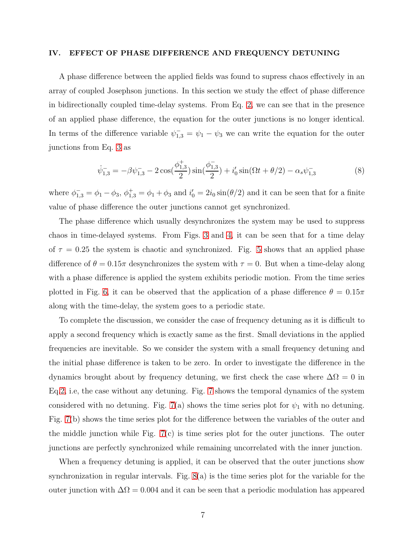#### IV. EFFECT OF PHASE DIFFERENCE AND FREQUENCY DETUNING

A phase difference between the applied fields was found to supress chaos effectively in an array of coupled Josephson junctions. In this section we study the effect of phase difference in bidirectionally coupled time-delay systems. From Eq. [2,](#page-3-0) we can see that in the presence of an applied phase difference, the equation for the outer junctions is no longer identical. In terms of the difference variable  $\psi_{1,3}^- = \psi_1 - \psi_3$  we can write the equation for the outer junctions from Eq. [3](#page-3-1) as

$$
\dot{\psi}_{1,3}^- = -\beta \psi_{1,3}^- - 2\cos(\frac{\phi_{1,3}^+}{2})\sin(\frac{\phi_{1,3}^-}{2}) + i'_0 \sin(\Omega t + \theta/2) - \alpha_s \psi_{1,3}^- \tag{8}
$$

where  $\phi_{1,3}^- = \phi_1 - \phi_3$ ,  $\phi_{1,3}^+ = \phi_1 + \phi_3$  and  $i'_0 = 2i_0 \sin(\theta/2)$  and it can be seen that for a finite value of phase difference the outer junctions cannot get synchronized.

The phase difference which usually desynchronizes the system may be used to suppress chaos in time-delayed systems. From Figs. [3](#page-11-0) and [4,](#page-12-0) it can be seen that for a time delay of  $\tau = 0.25$  the system is chaotic and synchronized. Fig. [5](#page-12-1) shows that an applied phase difference of  $\theta = 0.15\pi$  desynchronizes the system with  $\tau = 0$ . But when a time-delay along with a phase difference is applied the system exhibits periodic motion. From the time series plotted in Fig. [6,](#page-13-0) it can be observed that the application of a phase difference  $\theta = 0.15\pi$ along with the time-delay, the system goes to a periodic state.

To complete the discussion, we consider the case of frequency detuning as it is difficult to apply a second frequency which is exactly same as the first. Small deviations in the applied frequencies are inevitable. So we consider the system with a small frequency detuning and the initial phase difference is taken to be zero. In order to investigate the difference in the dynamics brought about by frequency detuning, we first check the case where  $\Delta\Omega = 0$  in Eq[.2,](#page-3-0) i.e, the case without any detuning. Fig. [7](#page-13-1) shows the temporal dynamics of the system considered with no detuning. Fig. [7\(](#page-13-1)a) shows the time series plot for  $\psi_1$  with no detuning. Fig. [7\(](#page-13-1)b) shows the time series plot for the difference between the variables of the outer and the middle junction while Fig. [7\(](#page-13-1)c) is time series plot for the outer junctions. The outer junctions are perfectly synchronized while remaining uncorrelated with the inner junction.

When a frequency detuning is applied, it can be observed that the outer junctions show synchronization in regular intervals. Fig.  $8(a)$  is the time series plot for the variable for the outer junction with  $\Delta\Omega = 0.004$  and it can be seen that a periodic modulation has appeared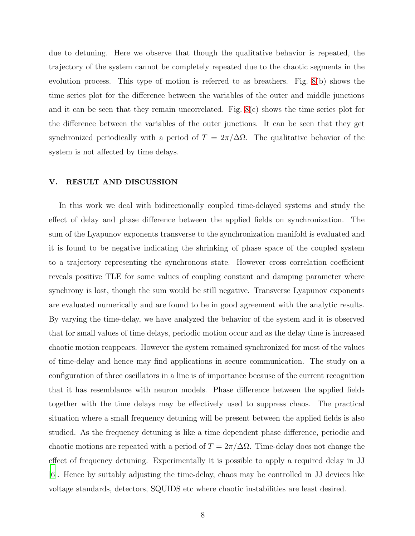due to detuning. Here we observe that though the qualitative behavior is repeated, the trajectory of the system cannot be completely repeated due to the chaotic segments in the evolution process. This type of motion is referred to as breathers. Fig. [8\(](#page-13-2)b) shows the time series plot for the difference between the variables of the outer and middle junctions and it can be seen that they remain uncorrelated. Fig. [8\(](#page-13-2)c) shows the time series plot for the difference between the variables of the outer junctions. It can be seen that they get synchronized periodically with a period of  $T = 2\pi/\Delta\Omega$ . The qualitative behavior of the system is not affected by time delays.

## V. RESULT AND DISCUSSION

In this work we deal with bidirectionally coupled time-delayed systems and study the effect of delay and phase difference between the applied fields on synchronization. The sum of the Lyapunov exponents transverse to the synchronization manifold is evaluated and it is found to be negative indicating the shrinking of phase space of the coupled system to a trajectory representing the synchronous state. However cross correlation coefficient reveals positive TLE for some values of coupling constant and damping parameter where synchrony is lost, though the sum would be still negative. Transverse Lyapunov exponents are evaluated numerically and are found to be in good agreement with the analytic results. By varying the time-delay, we have analyzed the behavior of the system and it is observed that for small values of time delays, periodic motion occur and as the delay time is increased chaotic motion reappears. However the system remained synchronized for most of the values of time-delay and hence may find applications in secure communication. The study on a configuration of three oscillators in a line is of importance because of the current recognition that it has resemblance with neuron models. Phase difference between the applied fields together with the time delays may be effectively used to suppress chaos. The practical situation where a small frequency detuning will be present between the applied fields is also studied. As the frequency detuning is like a time dependent phase difference, periodic and chaotic motions are repeated with a period of  $T = 2\pi/\Delta\Omega$ . Time-delay does not change the effect of frequency detuning. Experimentally it is possible to apply a required delay in JJ [\[6](#page-8-5)]. Hence by suitably adjusting the time-delay, chaos may be controlled in JJ devices like voltage standards, detectors, SQUIDS etc where chaotic instabilities are least desired.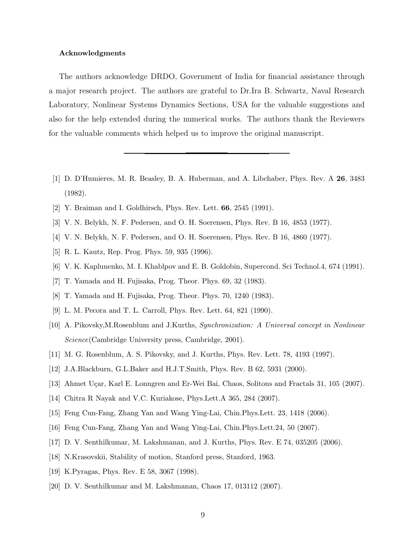#### Acknowledgments

The authors acknowledge DRDO, Government of India for financial assistance through a major research project. The authors are grateful to Dr.Ira B. Schwartz, Naval Research Laboratory, Nonlinear Systems Dynamics Sections, USA for the valuable suggestions and also for the help extended during the numerical works. The authors thank the Reviewers for the valuable comments which helped us to improve the original manuscript.

- <span id="page-8-0"></span>[1] D. D'Humieres, M. R. Beasley, B. A. Huberman, and A. Libchaber, Phys. Rev. A 26, 3483 (1982).
- <span id="page-8-1"></span>[2] Y. Braiman and I. Goldhirsch, Phys. Rev. Lett. 66, 2545 (1991).
- <span id="page-8-3"></span><span id="page-8-2"></span>[3] V. N. Belykh, N. F. Pedersen, and O. H. Soerensen, Phys. Rev. B 16, 4853 (1977).
- <span id="page-8-4"></span>[4] V. N. Belykh, N. F. Pedersen, and O. H. Soerensen, Phys. Rev. B 16, 4860 (1977).
- <span id="page-8-5"></span>[5] R. L. Kautz, Rep. Prog. Phys. 59, 935 (1996).
- <span id="page-8-6"></span>[6] V. K. Kaplunenko, M. I. Khablpov and E. B. Goldobin, Supercond. Sci Technol.4, 674 (1991).
- <span id="page-8-7"></span>[7] T. Yamada and H. Fujisaka, Prog. Theor. Phys. 69, 32 (1983).
- <span id="page-8-8"></span>[8] T. Yamada and H. Fujisaka, Prog. Theor. Phys. 70, 1240 (1983).
- [9] L. M. Pecora and T. L. Carroll, Phys. Rev. Lett. 64, 821 (1990).
- <span id="page-8-9"></span>[10] A. Pikovsky,M.Rosenblum and J.Kurths, Synchronization: A Universal concept in Nonlinear Science(Cambridge University press, Cambridge, 2001).
- <span id="page-8-10"></span>[11] M. G. Rosenblum, A. S. Pikovsky, and J. Kurths, Phys. Rev. Lett. 78, 4193 (1997).
- <span id="page-8-11"></span>[12] J.A.Blackburn, G.L.Baker and H.J.T.Smith, Phys. Rev. B 62, 5931 (2000).
- <span id="page-8-12"></span>[13] Ahmet Uçar, Karl E. Lonngren and Er-Wei Bai, Chaos, Solitons and Fractals 31, 105 (2007).
- <span id="page-8-13"></span>[14] Chitra R Nayak and V.C. Kuriakose, Phys.Lett.A 365, 284 (2007).
- <span id="page-8-14"></span>[15] Feng Cun-Fang, Zhang Yan and Wang Ying-Lai, Chin.Phys.Lett. 23, 1418 (2006).
- <span id="page-8-15"></span>[16] Feng Cun-Fang, Zhang Yan and Wang Ying-Lai, Chin.Phys.Lett.24, 50 (2007).
- <span id="page-8-16"></span>[17] D. V. Senthilkumar, M. Lakshmanan, and J. Kurths, Phys. Rev. E 74, 035205 (2006).
- <span id="page-8-17"></span>[18] N.Krasovskii, Stability of motion, Stanford press, Stanford, 1963.
- <span id="page-8-18"></span>[19] K.Pyragas, Phys. Rev. E 58, 3067 (1998).
- <span id="page-8-19"></span>[20] D. V. Senthilkumar and M. Lakshmanan, Chaos 17, 013112 (2007).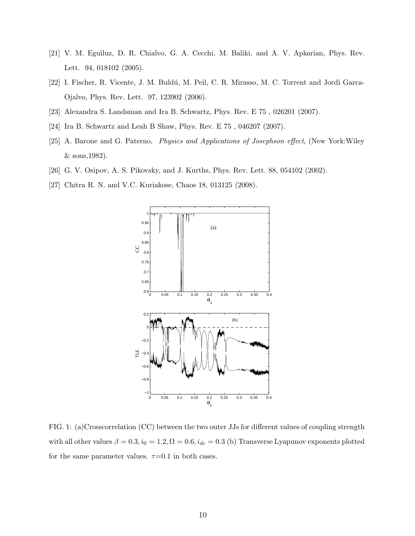- <span id="page-9-0"></span>[21] V. M. Eguìluz, D. R. Chialvo, G. A. Cecchi, M. Baliki, and A. V. Apkarian, Phys. Rev. Lett. 94, 018102 (2005).
- <span id="page-9-1"></span>[22] I. Fischer, R. Vicente, J. M. Buldú, M. Peil, C. R. Mirasso, M. C. Torrent and Jordi Garca-Ojalvo, Phys. Rev. Lett. 97, 123902 (2006).
- <span id="page-9-3"></span><span id="page-9-2"></span>[23] Alexandra S. Landsman and Ira B. Schwartz, Phys. Rev. E 75 , 026201 (2007).
- <span id="page-9-4"></span>[24] Ira B. Schwartz and Leah B Shaw, Phys. Rev. E 75 , 046207 (2007).
- [25] A. Barone and G. Paterno, Physics and Applications of Josephson effect, (New York:Wiley & sons,1982).
- <span id="page-9-6"></span><span id="page-9-5"></span>[26] G. V. Osipov, A. S. Pikovsky, and J. Kurths, Phys. Rev. Lett. 88, 054102 (2002).
- [27] Chitra R. N. and V.C. Kuriakose, Chaos 18, 013125 (2008).



<span id="page-9-7"></span>FIG. 1: (a)Crosscorrelation (CC) between the two outer JJs for different values of coupling strength with all other values  $\beta = 0.3$ ,  $i_0 = 1.2$ ,  $\Omega = 0.6$ ,  $i_{dc} = 0.3$  (b) Transverse Lyapunov exponents plotted for the same parameter values.  $\tau$ =0.1 in both cases.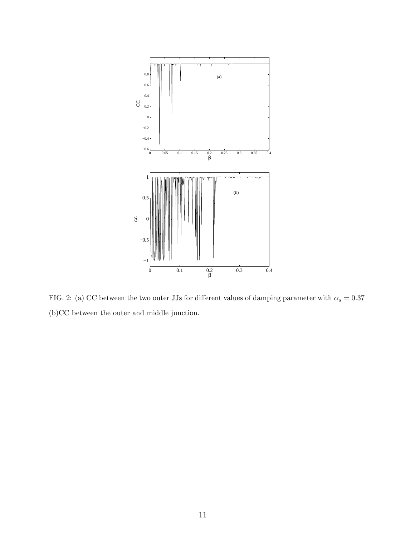

<span id="page-10-0"></span>FIG. 2: (a) CC between the two outer JJs for different values of damping parameter with  $\alpha_s=0.37$ (b)CC between the outer and middle junction.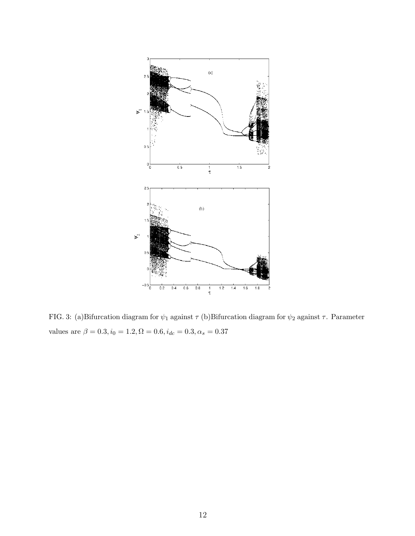

<span id="page-11-0"></span>FIG. 3: (a)Bifurcation diagram for  $\psi_1$  against  $\tau$  (b)Bifurcation diagram for  $\psi_2$  against  $\tau$ . Parameter values are  $\beta = 0.3, i_0 = 1.2, \Omega = 0.6, i_{dc} = 0.3, \alpha_s = 0.37$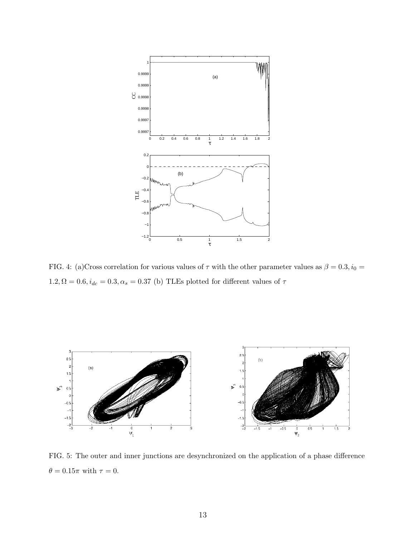

<span id="page-12-0"></span>FIG. 4: (a)Cross correlation for various values of  $\tau$  with the other parameter values as  $\beta = 0.3, i_0 =$  $1.2, \Omega = 0.6, i_{dc} = 0.3, \alpha_s = 0.37$  (b) TLEs plotted for different values of  $\tau$ 



<span id="page-12-1"></span>FIG. 5: The outer and inner junctions are desynchronized on the application of a phase difference  $\theta=0.15\pi$  with  $\tau=0.$